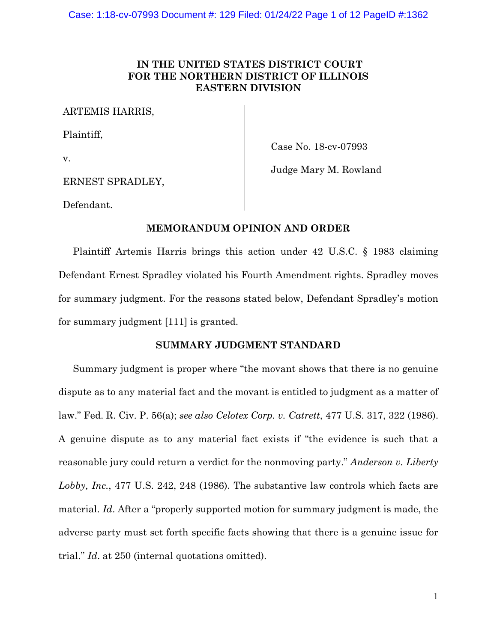# **IN THE UNITED STATES DISTRICT COURT FOR THE NORTHERN DISTRICT OF ILLINOIS EASTERN DIVISION**

ARTEMIS HARRIS,

Plaintiff,

v.

Case No. 18-cv-07993

Judge Mary M. Rowland

ERNEST SPRADLEY,

Defendant.

## **MEMORANDUM OPINION AND ORDER**

Plaintiff Artemis Harris brings this action under 42 U.S.C. § 1983 claiming Defendant Ernest Spradley violated his Fourth Amendment rights. Spradley moves for summary judgment. For the reasons stated below, Defendant Spradley's motion for summary judgment [111] is granted.

## **SUMMARY JUDGMENT STANDARD**

Summary judgment is proper where "the movant shows that there is no genuine dispute as to any material fact and the movant is entitled to judgment as a matter of law." Fed. R. Civ. P. 56(a); *see also Celotex Corp. v. Catrett*, 477 U.S. 317, 322 (1986). A genuine dispute as to any material fact exists if "the evidence is such that a reasonable jury could return a verdict for the nonmoving party." *Anderson v. Liberty Lobby, Inc.*, 477 U.S. 242, 248 (1986). The substantive law controls which facts are material. *Id*. After a "properly supported motion for summary judgment is made, the adverse party must set forth specific facts showing that there is a genuine issue for trial." *Id*. at 250 (internal quotations omitted).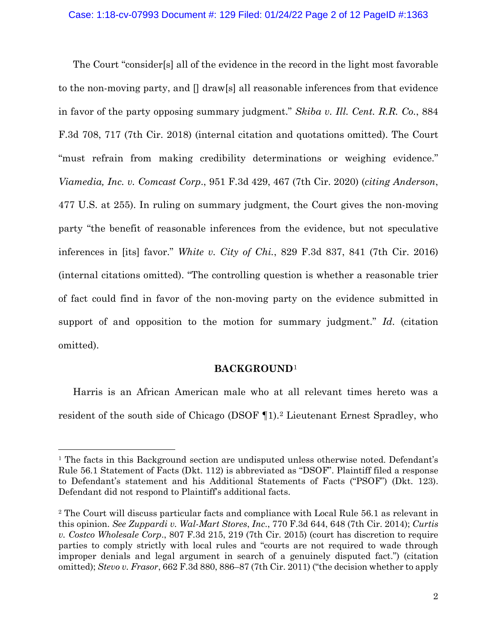The Court "consider[s] all of the evidence in the record in the light most favorable to the non-moving party, and [] draw[s] all reasonable inferences from that evidence in favor of the party opposing summary judgment." *Skiba v. Ill. Cent. R.R. Co.*, 884 F.3d 708, 717 (7th Cir. 2018) (internal citation and quotations omitted). The Court "must refrain from making credibility determinations or weighing evidence." *Viamedia, Inc. v. Comcast Corp*., 951 F.3d 429, 467 (7th Cir. 2020) (*citing Anderson*, 477 U.S. at 255). In ruling on summary judgment, the Court gives the non-moving party "the benefit of reasonable inferences from the evidence, but not speculative inferences in [its] favor." *White v. City of Chi.*, 829 F.3d 837, 841 (7th Cir. 2016) (internal citations omitted). "The controlling question is whether a reasonable trier of fact could find in favor of the non-moving party on the evidence submitted in support of and opposition to the motion for summary judgment." *Id*. (citation omitted).

#### **BACKGROUND**[1](#page-1-0)

Harris is an African American male who at all relevant times hereto was a resident of the south side of Chicago (DSOF ¶1).[2](#page-1-1) Lieutenant Ernest Spradley, who

<span id="page-1-0"></span><sup>1</sup> The facts in this Background section are undisputed unless otherwise noted. Defendant's Rule 56.1 Statement of Facts (Dkt. 112) is abbreviated as "DSOF". Plaintiff filed a response to Defendant's statement and his Additional Statements of Facts ("PSOF") (Dkt. 123). Defendant did not respond to Plaintiff's additional facts.

<span id="page-1-1"></span><sup>2</sup> The Court will discuss particular facts and compliance with Local Rule 56.1 as relevant in this opinion. *See Zuppardi v. Wal-Mart Stores*, *Inc*., 770 F.3d 644, 648 (7th Cir. 2014); *Curtis v. Costco Wholesale Corp*., 807 F.3d 215, 219 (7th Cir. 2015) (court has discretion to require parties to comply strictly with local rules and "courts are not required to wade through improper denials and legal argument in search of a genuinely disputed fact.") (citation omitted); *Stevo v. Frasor*, 662 F.3d 880, 886–87 (7th Cir. 2011) ("the decision whether to apply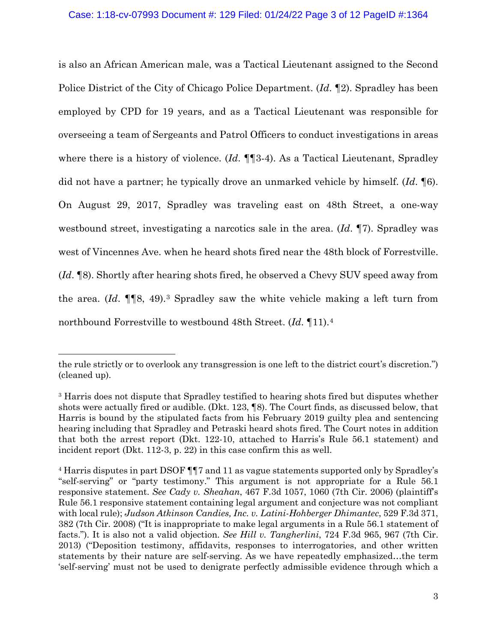is also an African American male, was a Tactical Lieutenant assigned to the Second Police District of the City of Chicago Police Department. (*Id*. ¶2). Spradley has been employed by CPD for 19 years, and as a Tactical Lieutenant was responsible for overseeing a team of Sergeants and Patrol Officers to conduct investigations in areas where there is a history of violence. (*Id.* ¶¶3-4). As a Tactical Lieutenant, Spradley did not have a partner; he typically drove an unmarked vehicle by himself. (*Id*. ¶6). On August 29, 2017, Spradley was traveling east on 48th Street, a one-way westbound street, investigating a narcotics sale in the area. (*Id*. ¶7). Spradley was west of Vincennes Ave. when he heard shots fired near the 48th block of Forrestville. (*Id*. ¶8). Shortly after hearing shots fired, he observed a Chevy SUV speed away from the area. (*Id*. ¶¶8, 49).[3](#page-2-0) Spradley saw the white vehicle making a left turn from northbound Forrestville to westbound 48th Street. (*Id*. ¶11).[4](#page-2-1)

the rule strictly or to overlook any transgression is one left to the district court's discretion.") (cleaned up).

<span id="page-2-0"></span><sup>3</sup> Harris does not dispute that Spradley testified to hearing shots fired but disputes whether shots were actually fired or audible. (Dkt. 123, ¶8). The Court finds, as discussed below, that Harris is bound by the stipulated facts from his February 2019 guilty plea and sentencing hearing including that Spradley and Petraski heard shots fired. The Court notes in addition that both the arrest report (Dkt. 122-10, attached to Harris's Rule 56.1 statement) and incident report (Dkt. 112-3, p. 22) in this case confirm this as well.

<span id="page-2-1"></span><sup>4</sup> Harris disputes in part DSOF ¶¶7 and 11 as vague statements supported only by Spradley's "self-serving" or "party testimony." This argument is not appropriate for a Rule 56.1 responsive statement. *See Cady v. Sheahan*, 467 F.3d 1057, 1060 (7th Cir. 2006) (plaintiff's Rule 56.1 responsive statement containing legal argument and conjecture was not compliant with local rule); *Judson Atkinson Candies, Inc. v. Latini-Hohberger Dhimantec*, 529 F.3d 371, 382 (7th Cir. 2008) ("It is inappropriate to make legal arguments in a Rule 56.1 statement of facts."). It is also not a valid objection. *See Hill v. Tangherlini*, 724 F.3d 965, 967 (7th Cir. 2013) ("Deposition testimony, affidavits, responses to interrogatories, and other written statements by their nature are self-serving. As we have repeatedly emphasized…the term 'self-serving' must not be used to denigrate perfectly admissible evidence through which a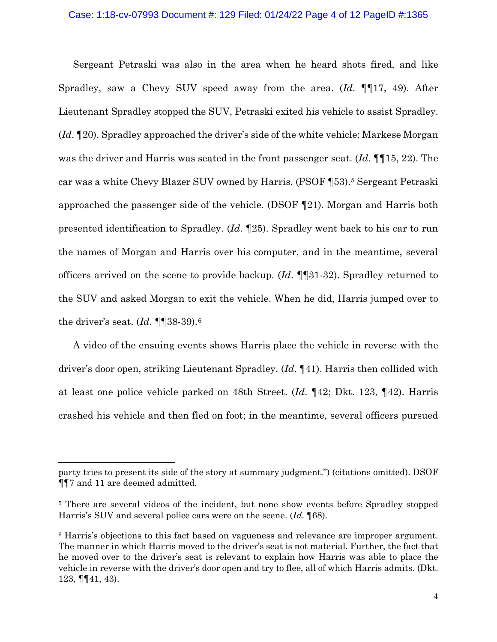#### Case: 1:18-cv-07993 Document #: 129 Filed: 01/24/22 Page 4 of 12 PageID #:1365

Sergeant Petraski was also in the area when he heard shots fired, and like Spradley, saw a Chevy SUV speed away from the area. (*Id*. ¶¶17, 49). After Lieutenant Spradley stopped the SUV, Petraski exited his vehicle to assist Spradley. (*Id*. ¶20). Spradley approached the driver's side of the white vehicle; Markese Morgan was the driver and Harris was seated in the front passenger seat. (*Id.* ¶[15, 22). The car was a white Chevy Blazer SUV owned by Harris. (PSOF ¶53)[.5](#page-3-0) Sergeant Petraski approached the passenger side of the vehicle. (DSOF ¶21). Morgan and Harris both presented identification to Spradley. (*Id*. ¶25). Spradley went back to his car to run the names of Morgan and Harris over his computer, and in the meantime, several officers arrived on the scene to provide backup. (*Id*. ¶¶31-32). Spradley returned to the SUV and asked Morgan to exit the vehicle. When he did, Harris jumped over to the driver's seat. (*Id*. ¶¶38-39).[6](#page-3-1)

A video of the ensuing events shows Harris place the vehicle in reverse with the driver's door open, striking Lieutenant Spradley. (*Id*. ¶41). Harris then collided with at least one police vehicle parked on 48th Street. (*Id*. ¶42; Dkt. 123, ¶42). Harris crashed his vehicle and then fled on foot; in the meantime, several officers pursued

party tries to present its side of the story at summary judgment.") (citations omitted). DSOF ¶¶7 and 11 are deemed admitted.

<span id="page-3-0"></span><sup>&</sup>lt;sup>5</sup> There are several videos of the incident, but none show events before Spradley stopped Harris's SUV and several police cars were on the scene. (*Id*. ¶68).

<span id="page-3-1"></span><sup>6</sup> Harris's objections to this fact based on vagueness and relevance are improper argument. The manner in which Harris moved to the driver's seat is not material. Further, the fact that he moved over to the driver's seat is relevant to explain how Harris was able to place the vehicle in reverse with the driver's door open and try to flee, all of which Harris admits. (Dkt. 123, ¶¶41, 43).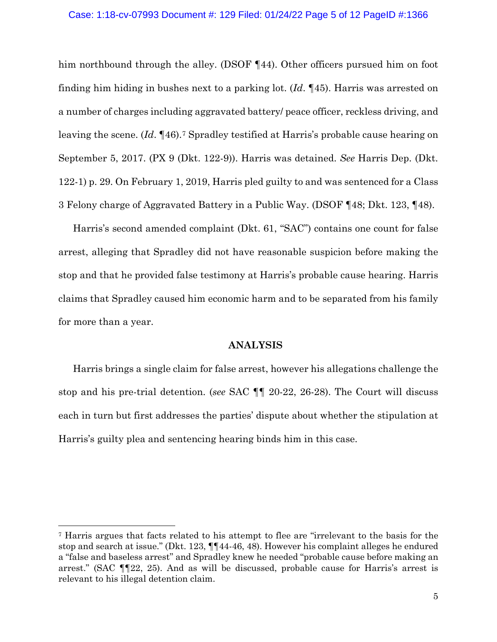#### Case: 1:18-cv-07993 Document #: 129 Filed: 01/24/22 Page 5 of 12 PageID #:1366

him northbound through the alley. (DSOF 144). Other officers pursued him on foot finding him hiding in bushes next to a parking lot. (*Id*. ¶45). Harris was arrested on a number of charges including aggravated battery/ peace officer, reckless driving, and leaving the scene. (*Id*. ¶46).[7](#page-4-0) Spradley testified at Harris's probable cause hearing on September 5, 2017. (PX 9 (Dkt. 122-9)). Harris was detained. *See* Harris Dep. (Dkt. 122-1) p. 29. On February 1, 2019, Harris pled guilty to and was sentenced for a Class 3 Felony charge of Aggravated Battery in a Public Way. (DSOF ¶48; Dkt. 123, ¶48).

Harris's second amended complaint (Dkt. 61, "SAC") contains one count for false arrest, alleging that Spradley did not have reasonable suspicion before making the stop and that he provided false testimony at Harris's probable cause hearing. Harris claims that Spradley caused him economic harm and to be separated from his family for more than a year.

## **ANALYSIS**

Harris brings a single claim for false arrest, however his allegations challenge the stop and his pre-trial detention. (*see* SAC ¶¶ 20-22, 26-28). The Court will discuss each in turn but first addresses the parties' dispute about whether the stipulation at Harris's guilty plea and sentencing hearing binds him in this case.

<span id="page-4-0"></span><sup>7</sup> Harris argues that facts related to his attempt to flee are "irrelevant to the basis for the stop and search at issue." (Dkt. 123, ¶¶44-46, 48). However his complaint alleges he endured a "false and baseless arrest" and Spradley knew he needed "probable cause before making an arrest." (SAC ¶¶22, 25). And as will be discussed, probable cause for Harris's arrest is relevant to his illegal detention claim.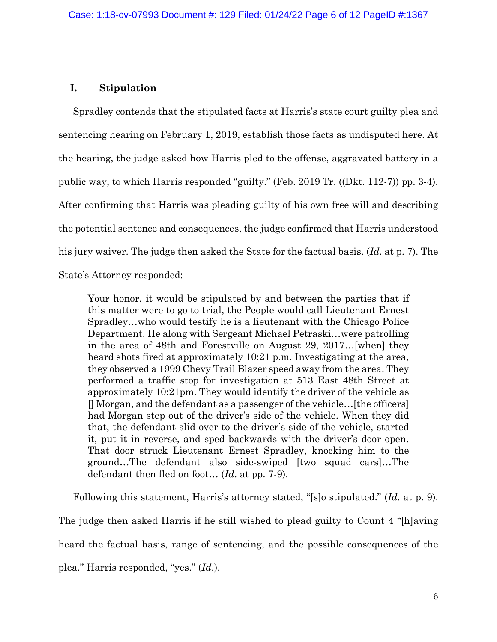### **I. Stipulation**

Spradley contends that the stipulated facts at Harris's state court guilty plea and sentencing hearing on February 1, 2019, establish those facts as undisputed here. At the hearing, the judge asked how Harris pled to the offense, aggravated battery in a public way, to which Harris responded "guilty." (Feb. 2019 Tr. ((Dkt. 112-7)) pp. 3-4). After confirming that Harris was pleading guilty of his own free will and describing the potential sentence and consequences, the judge confirmed that Harris understood his jury waiver. The judge then asked the State for the factual basis. (*Id*. at p. 7). The State's Attorney responded:

Your honor, it would be stipulated by and between the parties that if this matter were to go to trial, the People would call Lieutenant Ernest Spradley…who would testify he is a lieutenant with the Chicago Police Department. He along with Sergeant Michael Petraski…were patrolling in the area of 48th and Forestville on August 29, 2017…[when] they heard shots fired at approximately 10:21 p.m. Investigating at the area, they observed a 1999 Chevy Trail Blazer speed away from the area. They performed a traffic stop for investigation at 513 East 48th Street at approximately 10:21pm. They would identify the driver of the vehicle as [] Morgan, and the defendant as a passenger of the vehicle…[the officers] had Morgan step out of the driver's side of the vehicle. When they did that, the defendant slid over to the driver's side of the vehicle, started it, put it in reverse, and sped backwards with the driver's door open. That door struck Lieutenant Ernest Spradley, knocking him to the ground…The defendant also side-swiped [two squad cars]…The defendant then fled on foot… (*Id*. at pp. 7-9).

Following this statement, Harris's attorney stated, "[s]o stipulated." (*Id*. at p. 9). The judge then asked Harris if he still wished to plead guilty to Count 4 "[h]aving heard the factual basis, range of sentencing, and the possible consequences of the plea." Harris responded, "yes." (*Id*.).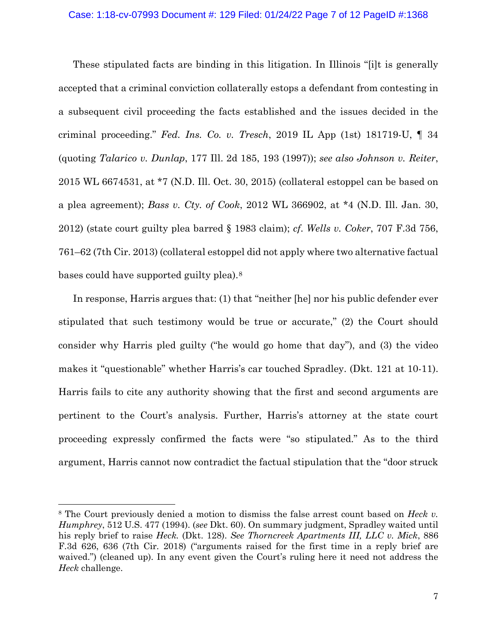These stipulated facts are binding in this litigation. In Illinois "[i]t is generally accepted that a criminal conviction collaterally estops a defendant from contesting in a subsequent civil proceeding the facts established and the issues decided in the criminal proceeding." *Fed. Ins. Co. v. Tresch*, 2019 IL App (1st) 181719-U, ¶ 34 (quoting *Talarico v. Dunlap*, 177 Ill. 2d 185, 193 (1997)); *see also Johnson v. Reiter*, 2015 WL 6674531, at \*7 (N.D. Ill. Oct. 30, 2015) (collateral estoppel can be based on a plea agreement); *Bass v. Cty. of Cook*, 2012 WL 366902, at \*4 (N.D. Ill. Jan. 30, 2012) (state court guilty plea barred § 1983 claim); *cf*. *Wells v. Coker*, 707 F.3d 756, 761–62 (7th Cir. 2013) (collateral estoppel did not apply where two alternative factual bases could have supported guilty plea).[8](#page-6-0)

In response, Harris argues that: (1) that "neither [he] nor his public defender ever stipulated that such testimony would be true or accurate," (2) the Court should consider why Harris pled guilty ("he would go home that day"), and (3) the video makes it "questionable" whether Harris's car touched Spradley. (Dkt. 121 at 10-11). Harris fails to cite any authority showing that the first and second arguments are pertinent to the Court's analysis. Further, Harris's attorney at the state court proceeding expressly confirmed the facts were "so stipulated." As to the third argument, Harris cannot now contradict the factual stipulation that the "door struck

<span id="page-6-0"></span><sup>8</sup> The Court previously denied a motion to dismiss the false arrest count based on *Heck v. Humphrey*, 512 U.S. 477 (1994). (*see* Dkt. 60). On summary judgment, Spradley waited until his reply brief to raise *Heck.* (Dkt. 128). *See Thorncreek Apartments III, LLC v. Mick*, 886 F.3d 626, 636 (7th Cir. 2018) ("arguments raised for the first time in a reply brief are waived.") (cleaned up). In any event given the Court's ruling here it need not address the *Heck* challenge.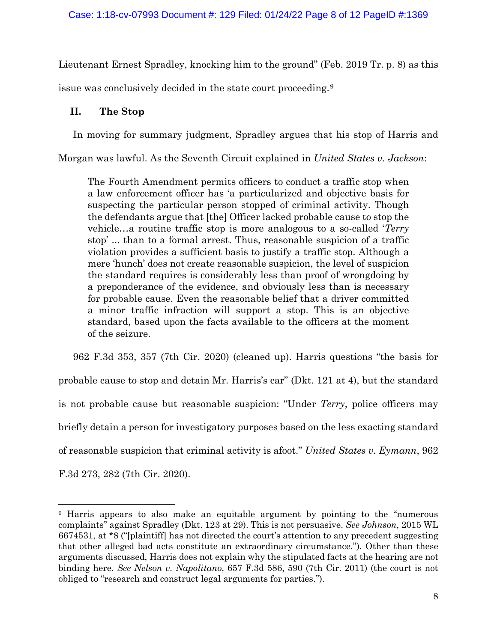Lieutenant Ernest Spradley, knocking him to the ground" (Feb. 2019 Tr. p. 8) as this issue was conclusively decided in the state court proceeding.[9](#page-7-0)

# **II. The Stop**

In moving for summary judgment, Spradley argues that his stop of Harris and

Morgan was lawful. As the Seventh Circuit explained in *United States v. Jackson*:

The Fourth Amendment permits officers to conduct a traffic stop when a law enforcement officer has 'a particularized and objective basis for suspecting the particular person stopped of criminal activity. Though the defendants argue that [the] Officer lacked probable cause to stop the vehicle…a routine traffic stop is more analogous to a so-called '*Terry* stop' ... than to a formal arrest. Thus, reasonable suspicion of a traffic violation provides a sufficient basis to justify a traffic stop. Although a mere 'hunch' does not create reasonable suspicion, the level of suspicion the standard requires is considerably less than proof of wrongdoing by a preponderance of the evidence, and obviously less than is necessary for probable cause. Even the reasonable belief that a driver committed a minor traffic infraction will support a stop. This is an objective standard, based upon the facts available to the officers at the moment of the seizure.

962 F.3d 353, 357 (7th Cir. 2020) (cleaned up). Harris questions "the basis for probable cause to stop and detain Mr. Harris's car" (Dkt. 121 at 4), but the standard is not probable cause but reasonable suspicion: "Under *Terry*, police officers may briefly detain a person for investigatory purposes based on the less exacting standard of reasonable suspicion that criminal activity is afoot." *United States v. Eymann*, 962 F.3d 273, 282 (7th Cir. 2020).

<span id="page-7-0"></span><sup>9</sup> Harris appears to also make an equitable argument by pointing to the "numerous complaints" against Spradley (Dkt. 123 at 29). This is not persuasive. *See Johnson*, 2015 WL 6674531, at \*8 ("[plaintiff] has not directed the court's attention to any precedent suggesting that other alleged bad acts constitute an extraordinary circumstance."). Other than these arguments discussed, Harris does not explain why the stipulated facts at the hearing are not binding here. *See Nelson v. Napolitano*, 657 F.3d 586, 590 (7th Cir. 2011) (the court is not obliged to "research and construct legal arguments for parties.").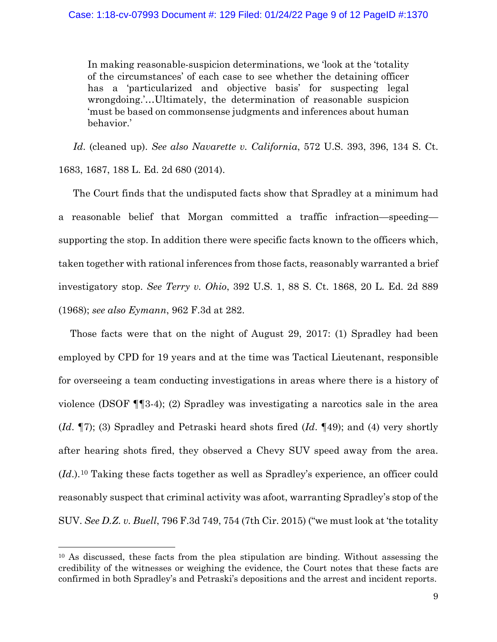In making reasonable-suspicion determinations, we 'look at the 'totality of the circumstances' of each case to see whether the detaining officer has a 'particularized and objective basis' for suspecting legal wrongdoing.'…Ultimately, the determination of reasonable suspicion 'must be based on commonsense judgments and inferences about human behavior.'

*Id*. (cleaned up). *See also Navarette v. California*, 572 U.S. 393, 396, 134 S. Ct. 1683, 1687, 188 L. Ed. 2d 680 (2014).

The Court finds that the undisputed facts show that Spradley at a minimum had a reasonable belief that Morgan committed a traffic infraction—speeding supporting the stop. In addition there were specific facts known to the officers which, taken together with rational inferences from those facts, reasonably warranted a brief investigatory stop. *See Terry v. Ohio*, 392 U.S. 1, 88 S. Ct. 1868, 20 L. Ed. 2d 889 (1968); *see also Eymann*, 962 F.3d at 282.

Those facts were that on the night of August 29, 2017: (1) Spradley had been employed by CPD for 19 years and at the time was Tactical Lieutenant, responsible for overseeing a team conducting investigations in areas where there is a history of violence (DSOF ¶¶3-4); (2) Spradley was investigating a narcotics sale in the area (*Id*. ¶7); (3) Spradley and Petraski heard shots fired (*Id*. ¶49); and (4) very shortly after hearing shots fired, they observed a Chevy SUV speed away from the area. (*Id*.).[10](#page-8-0) Taking these facts together as well as Spradley's experience, an officer could reasonably suspect that criminal activity was afoot, warranting Spradley's stop of the SUV. *See D.Z. v. Buell*, 796 F.3d 749, 754 (7th Cir. 2015) ("we must look at 'the totality

<span id="page-8-0"></span><sup>10</sup> As discussed, these facts from the plea stipulation are binding. Without assessing the credibility of the witnesses or weighing the evidence, the Court notes that these facts are confirmed in both Spradley's and Petraski's depositions and the arrest and incident reports.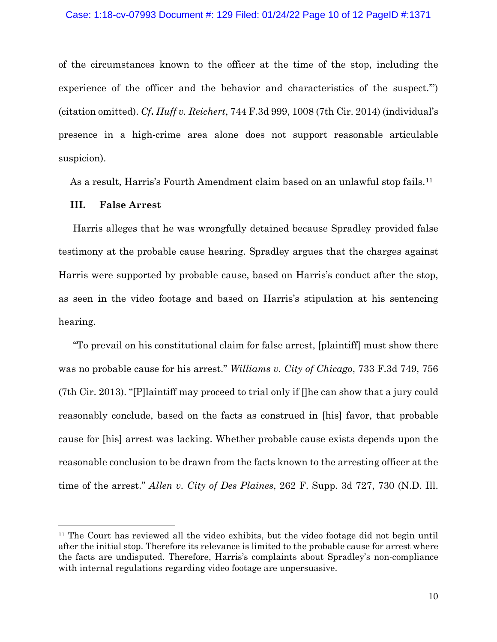of the circumstances known to the officer at the time of the stop, including the experience of the officer and the behavior and characteristics of the suspect.'") (citation omitted). *Cf***.** *Huff v. Reichert*, 744 F.3d 999, 1008 (7th Cir. 2014) (individual's presence in a high-crime area alone does not support reasonable articulable suspicion).

As a result, Harris's Fourth Amendment claim based on an unlawful stop fails[.11](#page-9-0)

### **III. False Arrest**

Harris alleges that he was wrongfully detained because Spradley provided false testimony at the probable cause hearing. Spradley argues that the charges against Harris were supported by probable cause, based on Harris's conduct after the stop, as seen in the video footage and based on Harris's stipulation at his sentencing hearing.

"To prevail on his constitutional claim for false arrest, [plaintiff] must show there was no probable cause for his arrest." *Williams v. City of Chicago*, 733 F.3d 749, 756 (7th Cir. 2013). "[P]laintiff may proceed to trial only if []he can show that a jury could reasonably conclude, based on the facts as construed in [his] favor, that probable cause for [his] arrest was lacking. Whether probable cause exists depends upon the reasonable conclusion to be drawn from the facts known to the arresting officer at the time of the arrest." *Allen v. City of Des Plaines*, 262 F. Supp. 3d 727, 730 (N.D. Ill.

<span id="page-9-0"></span><sup>11</sup> The Court has reviewed all the video exhibits, but the video footage did not begin until after the initial stop. Therefore its relevance is limited to the probable cause for arrest where the facts are undisputed. Therefore, Harris's complaints about Spradley's non-compliance with internal regulations regarding video footage are unpersuasive.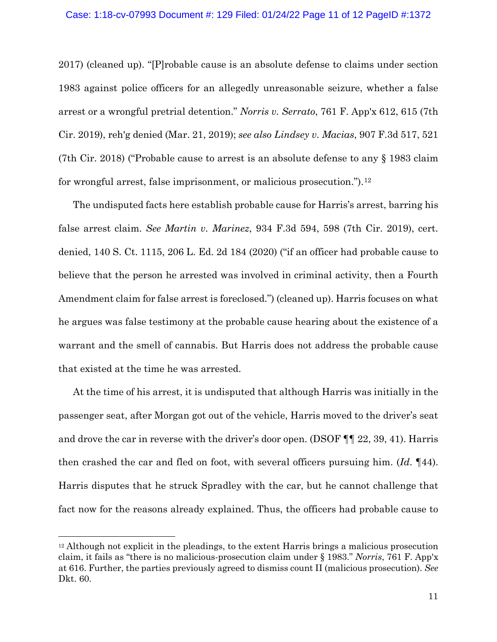2017) (cleaned up). "[P]robable cause is an absolute defense to claims under section 1983 against police officers for an allegedly unreasonable seizure, whether a false arrest or a wrongful pretrial detention." *Norris v. Serrato*, 761 F. App'x 612, 615 (7th Cir. 2019), reh'g denied (Mar. 21, 2019); *see also Lindsey v. Macias*, 907 F.3d 517, 521 (7th Cir. 2018) ("Probable cause to arrest is an absolute defense to any § 1983 claim for wrongful arrest, false imprisonment, or malicious prosecution.").[12](#page-10-0)

The undisputed facts here establish probable cause for Harris's arrest, barring his false arrest claim. *See Martin v. Marinez*, 934 F.3d 594, 598 (7th Cir. 2019), cert. denied, 140 S. Ct. 1115, 206 L. Ed. 2d 184 (2020) ("if an officer had probable cause to believe that the person he arrested was involved in criminal activity, then a Fourth Amendment claim for false arrest is foreclosed.") (cleaned up). Harris focuses on what he argues was false testimony at the probable cause hearing about the existence of a warrant and the smell of cannabis. But Harris does not address the probable cause that existed at the time he was arrested.

At the time of his arrest, it is undisputed that although Harris was initially in the passenger seat, after Morgan got out of the vehicle, Harris moved to the driver's seat and drove the car in reverse with the driver's door open. (DSOF ¶¶ 22, 39, 41). Harris then crashed the car and fled on foot, with several officers pursuing him. (*Id*. ¶44). Harris disputes that he struck Spradley with the car, but he cannot challenge that fact now for the reasons already explained. Thus, the officers had probable cause to

<span id="page-10-0"></span><sup>12</sup> Although not explicit in the pleadings, to the extent Harris brings a malicious prosecution claim, it fails as "there is no malicious-prosecution claim under § 1983." *Norris*, 761 F. App'x at 616. Further, the parties previously agreed to dismiss count II (malicious prosecution). *See* Dkt. 60.